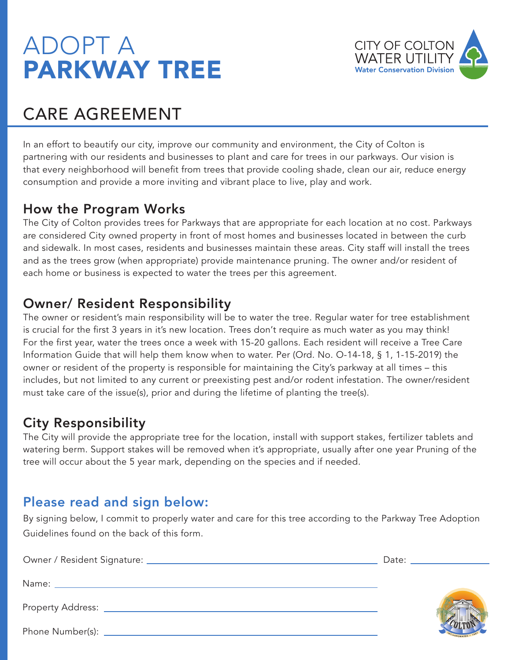## ADOPT A PARKWAY TREE



### CARE AGREEMENT

In an effort to beautify our city, improve our community and environment, the City of Colton is partnering with our residents and businesses to plant and care for trees in our parkways. Our vision is that every neighborhood will benefit from trees that provide cooling shade, clean our air, reduce energy consumption and provide a more inviting and vibrant place to live, play and work.

#### How the Program Works

The City of Colton provides trees for Parkways that are appropriate for each location at no cost. Parkways are considered City owned property in front of most homes and businesses located in between the curb and sidewalk. In most cases, residents and businesses maintain these areas. City staff will install the trees and as the trees grow (when appropriate) provide maintenance pruning. The owner and/or resident of each home or business is expected to water the trees per this agreement.

#### Owner/ Resident Responsibility

The owner or resident's main responsibility will be to water the tree. Regular water for tree establishment is crucial for the first 3 years in it's new location. Trees don't require as much water as you may think! For the first year, water the trees once a week with 15-20 gallons. Each resident will receive a Tree Care Information Guide that will help them know when to water. Per (Ord. No. O-14-18, § 1, 1-15-2019) the owner or resident of the property is responsible for maintaining the City's parkway at all times – this includes, but not limited to any current or preexisting pest and/or rodent infestation. The owner/resident must take care of the issue(s), prior and during the lifetime of planting the tree(s).

### City Responsibility

The City will provide the appropriate tree for the location, install with support stakes, fertilizer tablets and watering berm. Support stakes will be removed when it's appropriate, usually after one year Pruning of the tree will occur about the 5 year mark, depending on the species and if needed.

#### Please read and sign below:

By signing below, I commit to properly water and care for this tree according to the Parkway Tree Adoption Guidelines found on the back of this form.